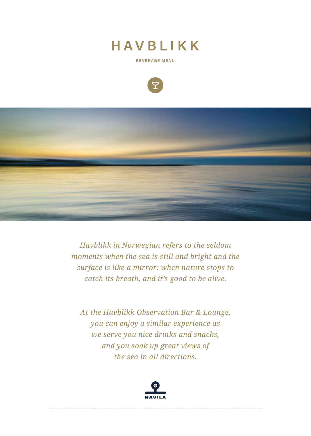# HAVBLIKK

**BEVERAGE MENU**





*Havblikk in Norwegian refers to the seldom moments when the sea is still and bright and the surface is like a mirror: when nature stops to catch its breath, and it's good to be alive.* 

*At the Havblikk Observation Bar & Lounge, you can enjoy a similar experience as we serve you nice drinks and snacks, and you soak up great views of the sea in all directions.*

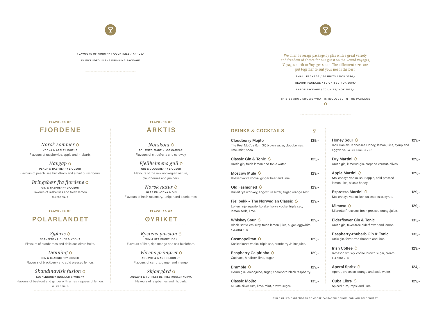

# **FLAVOURS OF NORWAY / COCKTAILS / KR 109,-**

#### **IS INCLUDED IN THE DRINKING PACKAGE**

We offer beverage package by glas with a great variety and freedom of choice for our guest on the Round voyages, Voyages north or Voyages south. The differnent sizes are put together to suit your needs the best.

THIS SYMBOL SHOWS WHAT IS INCLUDED IN THE PACKAGE  $\triangle$ 

#### **FLAVOURS OF**

**SMALL PACKAGE / 30 UNITS / NOK 3520,-**

**MEDIUM PACKAGE / 50 UNITS / NOK 5610,-**

**LARGE PACKAGE / 70 UNITS/ NOK 7525,**-

|  | <b>DRINKS &amp; COCKTAILS</b> |  |
|--|-------------------------------|--|
|  |                               |  |

**Raspberry Caipirinha 0 129,-**Cachaca, hindbær, lime, sugar.

**Bramble**  $\circ$  **129,-**Hernø gin, lemonjuice, sugar, chambord black raspberry.

| <b>Cloudberry Mojito</b><br>The Real McCoy Rum 3Y, brown sugar, cloudberries,<br>lime, mint, soda.                                  | $139,-$ |
|-------------------------------------------------------------------------------------------------------------------------------------|---------|
| Classic Gin & Tonic $\Diamond$<br>Arctic gin, fresh lemon and tonic water.                                                          | $125,-$ |
| Moscow Mule O<br>Koskenkorva vodka, ginger beer and lime.                                                                           | $129,-$ |
| Old Fashioned O<br>Bulleit rye whiskey, angostura bitter, sugar, orange zest.                                                       | $129,-$ |
| Fjellbekk - The Norwegian Classic $\circlearrowright$<br>Løiten linje agavite, korskenkorva vodka, triple sec,<br>lemon soda, lime. | $129,-$ |
| Whiskey Sour O<br>Black Bottle Whiskey, fresh lemon juice, sugar, eggwhite.<br>ALLERGEN: E                                          | 129,-   |
| Cosmopolitan $\circ$<br>Koskenkorva vodka, triple sec, cranberry & limejuice.                                                       | $129,-$ |
|                                                                                                                                     |         |

**Classic Mojito 135,-** Mulata silver rum, lime, mint, brown sugar.

| Honey Sour O<br>Jack Daniels Tennessee Honey, lemon juice, syrup and<br>eggwhite. ALLERGENS: E / SD | $129,-$ |
|-----------------------------------------------------------------------------------------------------|---------|
| Dry Martini $\circ$<br>Arctic gin, kimerud gin, carpano vermut, olives.                             | $129 -$ |
| Apple Martini O<br>Stolichnaya vodka, sour apple, cold pressed<br>lemonjuice, akasie honey.         | $129,-$ |
| Espresso Martini O<br>Stolichnaya vodka, kahlua, espresso, syrup.                                   | $129,-$ |
| Mimosa $\Diamond$<br>Mionetto Prosecco, fresh pressed orangejuice.                                  | $129,-$ |
| <b>Elderflower Gin &amp; Tonic</b><br>Arctic gin, fever-tree elderflower and lemon.                 | $135,-$ |
| <b>Raspberry-rhubarb Gin &amp; Tonic</b><br>Artic gin, fever-tree rhubarb and lime.                 | $135,-$ |
| Irish Coffee O<br>Jameson whisky, coffee, brown sugar, cream.<br>ALLERGEN: M                        | $129 -$ |
| Aperol Spritz O<br>Aperol, prosecco, orange and soda water.                                         | $124,-$ |
| Cuba Libre $\circ$<br>Spiced rum, Pepsi and lime.                                                   | $129 -$ |
|                                                                                                     |         |



# **FJORDENE**

*Norsk sommer*  **VODKA & APPLE LIQUEUR** Flavours of raspberries, apple and rhubarb.

*Havgap* **PEACH & RASPBERRY LIQUEUR** Flavours of peach, sea buckthorn and a hint of raspberry.

> *Bringebær fra fjordene*  **GIN & RASPBERRY LIQUEUR** Flavours of rasberries and fresh lemon. ALLERGEN: E

#### **F L AV O U R S O F**

# **POLARLANDET**

*Sjøbris* **CRANBERRY LIQUER & VODKA** Flavours of cranberries and delicious citrus fruits.

*Dønning* **GIN & BLACKBERRY LIQUER** Flavours of blackberry and cold pressed lemon.

*Skandinavisk fusion* **KOSKENKORVA INGEFÆR & WHISKY** Flavours of beetroot and ginger with a fresh squees of lemon. ALLERGEN: G

#### **FLAVOURS OF**

# **ARKTIS**

*Norskoni* **AQUAVITE, MARTINI OG CAMPARI** Flavours of citrusfruits and caraway.

*Fjellheimens gull* **GIN & CLOUDBERRY LIQUEUR** Flavours of the raw norwegian nature, glaudberries and junipers.

*Norsk natur*  **BLÅBÆR VODKA & GIN** Flavours of fresh rosemary, juniper and blueberries.

#### **F L AV O U R S O F**

# **ØYRIKET**

*Kystens passion* **RUM & SEA BUCKTHORN** Flavours of lime, ripe mango and sea buckthorn.

*Vårens primører* **AQUAVIT & MANGO LIQUEUR** Flavours of carrots, ginger and mango.

*Skjærgård*  **AQUAVIT & FORREST BERRIES KOSKENKORVA** Flavours of raspberries and rhubarb.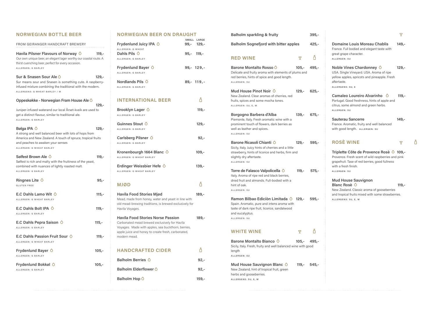### **NORWEGIAN BOTTLE BEER**

FROM GEIRANGER HANDCRAFT BREWERY

Havila Pilsner Flavours of Norway  $\circ$  119,-Our own unique beer, an elegant lager worthy our coastal route. A thirst cuenching beer, perfect for every occasion. ALLERGEN: G BARLEY

| Sur & Snasen Sour Ale $\Diamond$                           | $129 -$ |
|------------------------------------------------------------|---------|
| Sur means sour and Snasen is something cute. A raspberry-  |         |
| infused mixture combining the traditional with the modern. |         |
| ALLERGENS: G WHEAT BARLEY / M                              |         |

| Oppeskøkke - Norwegian Fram House Ale O                                                                           |          |
|-------------------------------------------------------------------------------------------------------------------|----------|
|                                                                                                                   | $129. -$ |
| Juniper-infused waterand our local Årset-kveik are used to<br>get a distinct flavour, similar to traditional ale. |          |
| ALLERGEN: G BARLEY                                                                                                |          |

| Bølga IPA $\circ$                                           | 129.- |
|-------------------------------------------------------------|-------|
| A strong and well balanced beer with lots of hops from      |       |
| America and New Zealand. A touch of spruce, tropical fruits |       |
| and peaches to awaken your senses                           |       |
| ALLERGEN: G WHEAT BARLEY                                    |       |
|                                                             |       |

| Sølfest Brown Ale O                                         | $119. -$ |
|-------------------------------------------------------------|----------|
| Sølfest is rich and malty with the fruitiness of the yeast, |          |
| combined with nuances of lightly roasted malt.              |          |
| ALLERGEN: G BARLEY                                          |          |
| Ringnes Lite $\circ$                                        | $95,-$   |
| <b>GLUTEN FREE</b>                                          |          |
| E.C Dahls Lamo Wit $\bigcirc$                               | $115,-$  |
| ALLERGEN: G WHEAT BARLEY                                    |          |
| E.C Dahls Bolt IPA $\bigcirc$                               | $119,-$  |
| ALLERGEN: G BARLEY                                          |          |
| E.C Dahls Pepra Saison $\Diamond$                           | $115,-$  |
| ALLERGEN: G BARLEY                                          |          |
| E.C Dahls Passion Fruit Sour O                              | $119,-$  |
| ALLERGEN: G WHEAT BARLEY                                    |          |
| Frydenlund Bayer $\circ$                                    | $105,-$  |
| ALLERGEN: G BARLEY                                          |          |
| Frydenlund Bokkøl O                                         | $105 -$  |
| ALLERGEN: G BARLEY                                          |          |
|                                                             |          |

### **NORWEGIAN BEER ON DRAUGHT**

| Frydenlund Juicy IPA $\circ$                                                                                                                                                                                          | SMALL LARGE<br>99,- 129,- |
|-----------------------------------------------------------------------------------------------------------------------------------------------------------------------------------------------------------------------|---------------------------|
| ALLERGEN: G WHEAT<br>Dahls Pils $\circ$<br>ALLERGEN: G BARLEY                                                                                                                                                         | $95,-$ 119,-              |
| Frydenlund Bayer $\Diamond$<br>ALLERGEN: G BARLEY                                                                                                                                                                     | 99,- 129,-                |
| Nordlands Pils $\Diamond$<br>ALLERGEN: G BARLEY                                                                                                                                                                       | $89 - 119 -$              |
| <b>INTERNATIONAL BEER</b>                                                                                                                                                                                             | ለ                         |
| Brooklyn Lager O<br>ALLERGEN: G BARLEY                                                                                                                                                                                | $119,-$                   |
| Guinnes Stout $\Diamond$<br>ALLERGEN: G BARLEY                                                                                                                                                                        | $129,-$                   |
| Carlsberg Pilsner $\Diamond$<br>ALLERGEN: G BARLEY                                                                                                                                                                    | $92 -$                    |
| Kronenbourgh 1664 Blanc $\bigcirc$<br>ALLERGEN: G WHEAT BARLEY                                                                                                                                                        | $109,-$                   |
| Erdinger Weissbier Hefe O<br>ALLERGEN: G WHEAT BARLEY                                                                                                                                                                 | $139,-$                   |
| <b>MJØD</b>                                                                                                                                                                                                           | ለ                         |
| <b>Havila Food Stories Mjød</b><br>Mead, made from honey, water and yeast in line with<br>old mead-brewing traditions, is brewed exclusively for<br>Havila Voyages.                                                   | 189,-                     |
| <b>Havila Food Stories Norse Passion</b><br>Carbonated mead brewed exclusively for Havila<br>Voyages. Made with apples, sea buckthorn, berries,<br>apple juice and honey to create fresh, carbonated,<br>modern mead. | 189,-                     |
| <b>HANDCRAFTED CIDER</b>                                                                                                                                                                                              |                           |
| Balholm Berries O                                                                                                                                                                                                     | $92 -$                    |
| Balholm Elderflower O                                                                                                                                                                                                 | $92 -$                    |

**Balholm Hop O** 259,-

**Triplette Côte de Provence Rosè ○ 109,-**Provence. Fresh scent of wild raspberries and pink grapefruit. Tase of red berries, good fullness with a fresh finish. ALLERGEN: SU

| <b>Balholm sparkling &amp; fruity</b>                                                                                                                                             |               |  |  |
|-----------------------------------------------------------------------------------------------------------------------------------------------------------------------------------|---------------|--|--|
| <b>Balholm Sognefjord with bitter apples</b>                                                                                                                                      |               |  |  |
| <b>RED WINE</b>                                                                                                                                                                   | P             |  |  |
| Barone Montalto Rosso O<br>Delicate and fruity aroma with elements of plums and<br>red berries, hints of spice and good length.<br>ALLERGEN: SU                                   | 105,- 495,-   |  |  |
| Mud House Pinot Noir $\Diamond$<br>New Zealand. Clear aromas of cherries, red<br>fruits, spices and some mocha tones.<br>ALLERGEN: SU, E, M                                       | 129,- 625,-   |  |  |
| Borgogno Barbera d'Alba<br>Piemonte, Italy. Fresh aromatic wine with a<br>prominent touch of flowers, dark berries as<br>well as leather and spices.<br>ALLERGEN: SU              | 139,- 675,-   |  |  |
| Barone Ricasoli Chianti O<br>Sicily, Italy. Juicy hints of cherries and a little<br>strawberry, hints of licorice and herbs, firm and<br>slightly dry aftertaste.<br>ALLERGEN: SU | 129,- 595,-   |  |  |
| Torre de Falasco Valpolicella O<br>Italy. Aroma of ripe red and black berries,<br>dried fruit and almonds. Full-bodied with a<br>hint of oak.<br>ALLERGEN: SU                     | $119,- 575.$  |  |  |
| Ramon Bilbao Ediciòn Limitada 0 129,- 595,-<br>Spain. Aromatic, pure and intens aroma with<br>taste of dark ripe fruit, licorice, sandalwood<br>and eucalyptus.<br>ALLERGEN: SU   |               |  |  |
| <b>WHITE WINE</b>                                                                                                                                                                 | マー            |  |  |
| Barone Montalto Bianco O<br>Sicily, Italy. Fresh, fruity and well balanced wine with good<br>length<br>ALLERGEN: SU                                                               | $105,-$ 495,- |  |  |
| Mud House Sauvignon Blanc O<br>New Zealand, hint of tropical fruit, green<br>herbs and gooseberries.<br>ALLERGENS: SU, E, M                                                       | 119,- 545,-   |  |  |

| <b>Domaine Louis Moreau Chablis</b><br>France. Full bodied and elegant taste with<br>great grape character.<br>ALLERGEN: SU                                               | $149,-$ |  |  |
|---------------------------------------------------------------------------------------------------------------------------------------------------------------------------|---------|--|--|
| Noble Vines Chardonney $\circlearrowright$<br>USA. Single Vineyard. USA. Aroma of ripe<br>yellow apples, apricots and pineapple. Fresh<br>aftertaste.<br>ALLERGENS: SU, E | $129,-$ |  |  |
| Camaleo Loureiro Alvarinho 0<br>Portugal. Good freshness, hints of apple and<br>citrus, some almond and green herbs.<br>ALLERGEN: SU                                      | $119,-$ |  |  |
| <b>Sauterau Sancerre</b>                                                                                                                                                  | $149,-$ |  |  |

France. Aromatic, fruity and well balanced with good length. ALLERGEN: SU

# **ROSÈ WINE**

# **Mud House Sauvignon**

**Blanc Rosè 119,- 565,-** New Zealand. Classic aroma of gooseberries and tropical fruits mixed with some strawberries. ALLERGENS: SU, E, M

 $\overline{Y}$ 

 $\Delta$ 

 $\Lambda$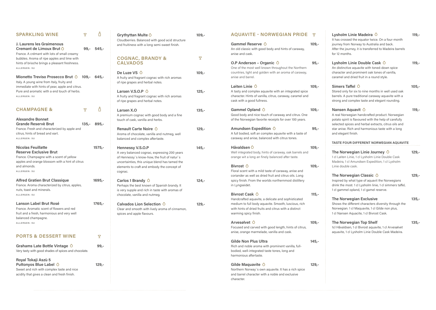| <b>SPARKLING WINE</b>                                                                                                                                                                     | $\overline{Y}$ |          | Grythyttan Multe $\Diamond$<br>Cloudberries. Balanced with good acid structure                                                                                                                                                      | $109,-$ |
|-------------------------------------------------------------------------------------------------------------------------------------------------------------------------------------------|----------------|----------|-------------------------------------------------------------------------------------------------------------------------------------------------------------------------------------------------------------------------------------|---------|
| J. Laurens les Graimenous<br>Cremant de Limoux Brut $\Diamond$<br>France. A crémant with lots of small creamy                                                                             | $99,-$         | $545,-$  | and fruitiness with a long semi-sweet finish.                                                                                                                                                                                       |         |
| bubbles. Aroma of ripe apples and lime with<br>hints of brioche brings a pleasant freshness.<br>ALLERGEN: SU                                                                              |                |          | <b>COGNAC, BRANDY &amp;</b><br><b>CALVADOS</b>                                                                                                                                                                                      | P       |
| Mionetto Treviso Prosecco Brut O<br>Italy. A young wine from Italy, fruity and<br>immediate with hints of pear, apple and citrus.                                                         | $109 -$        | $645. -$ | De Luze VS $\circ$<br>A fruity and fragrant cognac with rich aromas<br>of ripe grapes and herbal notes.                                                                                                                             | $109,-$ |
| Pure and aromatic with a end touch of herbs.<br>ALLERGEN: SU                                                                                                                              |                |          | Larsen V.S.O.P $\circ$<br>A fruity and fragrant cognac with rich aromas<br>of ripe grapes and herbal notes.                                                                                                                         | $125,-$ |
| <b>CHAMPAGNE &amp;</b>                                                                                                                                                                    | P              | Δ        | Larsen X.O                                                                                                                                                                                                                          | $135,-$ |
| <b>Alexandre Bonnet</b><br><b>Grande Reservè Brut</b>                                                                                                                                     | $135,-$        | $895,-$  | A premium cognac with good body and a fine<br>touch of cask, vanilla and herbs.                                                                                                                                                     |         |
| France. Fresh and characterized by apple and<br>citrus, hints of bread and eart.<br>ALLERGEN: SU                                                                                          |                |          | Renault Carte Noire O<br>Aroma of chocolate, vanilla and nutmeg, well<br>balanced and complex aftertaste.                                                                                                                           | $129,-$ |
| <b>Nicolas Feuillatte</b><br><b>Reserve Exclusive Brut</b><br>France. Champagne with a scent of yellow<br>apples and orange blossom with a hint of citrus<br>and almonds.<br>ALLERGEN: SU |                | $1575,-$ | <b>Hennessy V.S.O.P</b><br>A very balanced cognac, expressing 200 years<br>of Hennessy's know-how, the fruit of natur's<br>uncertainties, this unique blend has tamed the<br>elements to craft and embody the concept of<br>cognac. | $145,-$ |
| <b>Alfred Gratien Brut Classique</b><br>France. Aroma characterized by citrus, apples,<br>nuts, toast and minerals.<br>ALLERGEN: SU                                                       |                | $1695,-$ | Carlos 1 Brandy $\circ$<br>Perhaps the best known of Spanish brandy. It<br>is very supple and rich in taste with aromas of<br>chocolate, vanilla and nutmeg.                                                                        | $124,-$ |
| Lanson Label Brut Rosé<br>France. Aromatic scent of flowers and red<br>fruit and a fresh, harmonious and very well<br>balanced champagne.<br>ALLERGEN: SU                                 |                | $1765,-$ | Calvados Lion Selection O<br>Clear and smooth with lively aroma of cinnamon,<br>spices and apple flavours.                                                                                                                          | $129 -$ |
| <b>PORTS &amp; DESSERT WINE</b>                                                                                                                                                           |                | P        |                                                                                                                                                                                                                                     |         |
| Grahams Late Bottle Vintage $\bigcirc$<br>Very tasty with good shades of spices and chocolate.                                                                                            |                | $99,-$   |                                                                                                                                                                                                                                     |         |
| Royal Tokaji Aszù 5<br>Puttonyos Blue Label O<br>Sweet and rich with complex taste and nice<br>acidity that gives a clean and fresh finish.                                               |                | $129,-$  |                                                                                                                                                                                                                                     |         |
|                                                                                                                                                                                           |                |          |                                                                                                                                                                                                                                     |         |

h spice and barrel character with a noble and exclusive character.

**AQUAVITE - NORWEGIAN PRIDE**

**Gammel Opland 109,-**

**109,-**

| Gammel Reserve $\bigcirc$<br>anise and cask.                                                           | An old classic with good body and hints of caraway,                                                                                                                     | $109,-$ |
|--------------------------------------------------------------------------------------------------------|-------------------------------------------------------------------------------------------------------------------------------------------------------------------------|---------|
| O.P Anderson - Organic O<br>anise and barrel.                                                          | One of the most well known throughout the Northern<br>countries, light and golden with an aroma of caraway,                                                             | $95 -$  |
| Løiten Linie $\Diamond$<br>cask with a good fullness.                                                  | A tasty and complex aquavite with an integrated spice<br>character. Hints of vanilla, citrus, caraway, caramel and                                                      | $109,-$ |
| Gammel Opland $\circ$                                                                                  | Good body and nice touch of caraway and citrus. One<br>of the Norwegian favorite receipts for over 100 years.                                                           | $109,-$ |
| Amundsen Expedition $\Diamond$                                                                         | A full bodied, soft an complex aquavite with a taste of<br>caraway and anise, balanced with citrus tones.                                                               | $95 -$  |
| Håvaldsen $\Diamond$                                                                                   | Well integrated body, hints of caraway, oak barrels and<br>orange wit a long an finely balanced after taste.                                                            | $109,-$ |
| Bivrost $\circ$<br>in Lyngseidet.                                                                      | Floral scent with a mild taste of caraway, anise and<br>coriander as well as dried fruit and citrus oils. Long<br>spicy finish. From the worlds northernmost distillery | $109,-$ |
| Bivrost Cask O<br>warming spicy finish.                                                                | Handcrafted aquavite, a delicate and sophisticated<br>medium to full body aquavite. Smooth, luscious, rich<br>with hints of dried fruits and citrus with a distinct     | 115,-   |
| Arvesølvet $\Diamond$<br>anise, orange marmelade, vanilla and cask.                                    | Focused and carved with good length, hints of citrus,                                                                                                                   | $109,-$ |
| <b>Gilde Non Plus Ultra</b><br>bodied, well-integrated taste tones, long and<br>harmonious aftertaste. | Rich and noble aroma with prominent vanilla, full-                                                                                                                      | 145,-   |
| Gilde Maquavite $\circ$                                                                                | Northern Norway's own aquavite. It has a rich spice                                                                                                                     | 129,-   |

**Arvesølvet 109,-**

**145,-**

**Gilde Maquavite 129,-**

**109,-**

| Lysholm Linie Madeira O<br>It has crossed the equator twice. On a four-month<br>journey from Norway to Australia and back.<br>After the journey, it is transferred to Madeira barrels<br>for 12 months.                                                          | 119,-    |
|------------------------------------------------------------------------------------------------------------------------------------------------------------------------------------------------------------------------------------------------------------------|----------|
| Lysholm Linie Double Cask $\Diamond$<br>An distinctive aquavite with toned-down spice<br>character and prominent oak tones of vanilla,<br>caramel and dried fruit in a round style.                                                                              | 119,-    |
| Simers Taffel $\Diamond$<br>Stored only for six to nine months in well used oak<br>barrels. A pure traditional caraway aquavite with a<br>strong and complex taste and elegant rounding.                                                                         | 105,-    |
| Nansen Aquavit ○<br>A real Norwegian handcrafted product. Norwegian<br>potato spirit is flavoured with the help of carefully<br>selected spices and herbal extracts, citrus oils and<br>star anise. Rich and harmonious taste with a long<br>and elegant finish. | $119. -$ |
| TASTE FOUR DIFFERENT NORWEGIAN AQUAVITE                                                                                                                                                                                                                          |          |
| The Norwegian Linie Journey $\bigcirc$<br>1 cl Løiten Linie, 1 cl Lysholm Linie Double Cask<br>Madeira, 1 cl Amundsen Expedition, 1 cl Lysholm<br>Linie double cask.                                                                                             | $129,-$  |
| The Norwegian Classic $\circ$<br>Inspired by what type of aquavit the Norwegians<br>drink the most. 1 cl Lysholm linie, 1 cl simmers taffel,<br>1 cl gammel opland, 1 cl gamel reserve.                                                                          | $129,-$  |
| <b>The Norwegian Exclusive</b><br>Shows the different characters diversity through the<br>Norwegian. 1 cl Maquavite, 1 cl Gilde non plus,<br>1 cl Nansen Aquacite, 1 cl Bivrost Cask.                                                                            | 135,-    |
| <b>The Norwegian Top Shelf</b><br>1cl Håvaldsen, 1 cl Bivrost aquavite, 1 cl Arvesølvet                                                                                                                                                                          | $135,-$  |

aquavite, 1 cl Lysholm Linie Double Cask Madeira.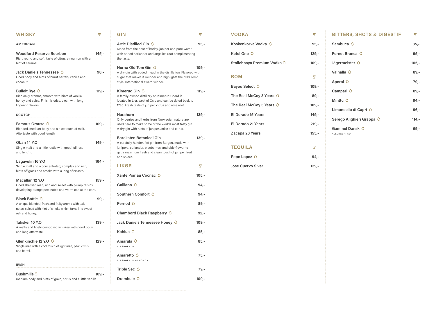| <b>WHISKY</b>                                                                                                                                                 | Y       |
|---------------------------------------------------------------------------------------------------------------------------------------------------------------|---------|
| AMERICAN                                                                                                                                                      |         |
| <b>Woodford Reserve Bourbon</b><br>Rich, round and soft, taste of citrus, cinnamon with a<br>hint of caramel.                                                 | 145,-   |
| Jack Daniels Tennessee O<br>Good body and hints of burnt barrels, vanilla and<br>coconut.                                                                     | 98,-    |
| Bulleit Rye $\circlearrowright$<br>Rich oaky aromas, smooth with hints of vanilla,<br>honey and spice. Finish is crisp, clean with long<br>lingering flavors. | $119,-$ |
| SCOTCH                                                                                                                                                        |         |
| Famous Grouse $\bigcirc$<br>Blended, medium body and a nice touch of malt.<br>Aftertaste with good length.                                                    | $109,-$ |
| Oban 14 Y.O<br>Single malt and a little rustic with good fullness<br>and length.                                                                              | 149,-   |
| Lagavulin 16 Y.O<br>Single malt and a concentrated, complex and rich,<br>hints off grass and smoke with a long aftertaste.                                    | $164,-$ |
| <b>Macallan 12 Y.O</b><br>Good sherried malt, rich and sweet with plump raisins,<br>developing orange peel notes and warm oak at the core.                    | $159,-$ |
| <b>Black Bottle O</b><br>A unique blended, fresh and fruity aroma with oak<br>notes, spiced with hint of smoke which turns into sweet<br>oak and honey.       | 99,-    |
| Talisker 10 Y.O<br>A malty and finely composed whiskey with good body<br>and long aftertaste.                                                                 | 139,-   |
| Glenkinchie 12 Y.O $\circ$<br>Single malt with a cool touch of light malt, pear, citrus<br>and barrel.                                                        | 129,-   |
| <b>IRISH</b>                                                                                                                                                  |         |
| Bushmills $\Diamond$<br>medium body and hints of grain, citrus and a little vanilla                                                                           | $109,-$ |

| <b>VODKA</b>                                 | P       |
|----------------------------------------------|---------|
| Koskenkorva Vodka O<br>$95 -$                |         |
| Ketel One ○<br>$129,-$                       |         |
| Stolichnaya Premium Vodka Ô                  | $109,-$ |
| <b>ROM</b>                                   | P       |
| Bayou Select O                               | $109,-$ |
| The Real McCoy 3 Years O                     | $89,-$  |
| The Real McCoy 5 Years $\Diamond$<br>$109,-$ |         |
| El Dorado 15 Years                           | $149,-$ |
| El Dorado 21 Years                           | $219,-$ |
| Zacapa 23 Years                              | $155,-$ |
| <b>TEQUILA</b>                               | P       |
| Pepe Lopez $\Diamond$                        | $94,-$  |
| <b>Jose Cuervo Siver</b><br>$139,-$          |         |

| GIN                                                                                                                                                                                                                  | P       |
|----------------------------------------------------------------------------------------------------------------------------------------------------------------------------------------------------------------------|---------|
| Artic Distilled Gin $\,\circ\,$<br>Made from the best of barley, juniper and pure water<br>with added coriander and angelica root complimenting<br>the taste.                                                        | $95 -$  |
| Hernø Old Tom Gin $\Diamond$<br>A dry gin with added mead in the distillation. Flavored with<br>sugar that makes it rounder and highlights the "Old Tom"<br>style. International award winner.                       | 109,-   |
| Kimerud Gin $\circ$<br>A family-owned distillery on Kimerud Gaard is<br>located in Lier, west of Oslo and can be dated back to<br>1785. Fresh taste of juniper, citrus and rose root.                                | $119,-$ |
| <b>Harahorn</b><br>Only berries and herbs from Norwegian nature are<br>used here to make some of the worlds most tasty gin.<br>A dry gin with hints of juniper, anise and citrus.                                    | $139,-$ |
| <b>Bareksten Botanical Gin</b><br>A carefully handcraftet gin from Bergen, made with<br>junipers, coriander, blueberries, and elderflower to<br>get a maximum fresh and clean touch of juniper, fruit<br>and spices. | $139,-$ |
| <b>LIKØR</b>                                                                                                                                                                                                         | P       |
| Xante Poir au Cocnac $~\Diamond$                                                                                                                                                                                     | $105,-$ |
| Galliano O                                                                                                                                                                                                           | 94,-    |
| Southern Comfort $\Diamond$                                                                                                                                                                                          | 94,     |
| Pernod O                                                                                                                                                                                                             | $89,-$  |
| Chambord Black Raspberry $\Diamond$                                                                                                                                                                                  | $92 -$  |
| Jack Daniels Tennessee Honey O                                                                                                                                                                                       | $109,-$ |
| Kahlua $\Diamond$                                                                                                                                                                                                    | $85,-$  |
| Amarula $\circ$<br>ALLERGEN: M                                                                                                                                                                                       | $85 -$  |
| Amaretto $\circlearrowright$<br>ALLERGEN: N ALMONDS                                                                                                                                                                  | $75,-$  |
| Triple Sec $\Diamond$                                                                                                                                                                                                | $79,-$  |
| Drambuie O                                                                                                                                                                                                           | $109,-$ |
|                                                                                                                                                                                                                      |         |

| <b>BITTERS, SHOTS &amp; DIGESTIF</b> | Y       |
|--------------------------------------|---------|
| Sambuca $\circ$                      | $85,-$  |
| Fernet Branca O                      | $95 -$  |
| Jägermeister $\Diamond$              | $105,-$ |
| Valhalla 0                           | $89,-$  |
| Aperol O                             | 79,-    |
| Campari O                            | $89 -$  |
| Minttu $\circ$                       | 84,-    |
| Limoncello di Capri $\circ$          | $96 -$  |
| Serego Alighieri Grappa O            | $114,-$ |
| Gammel Dansk O<br>ALLERGEN: SU       | 99,-    |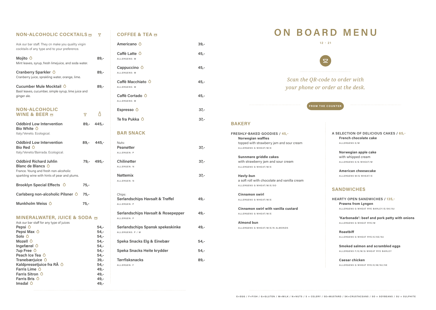### **NON-ALCOHOLIC COCKTAILS** m

Ask our bar staff. They cn make you quality virgin cocktails of any type and to your preference.

| Mojito $\circ$<br>Mint leaves, syrup, fresh limejuice, and soda water.                          |     |
|-------------------------------------------------------------------------------------------------|-----|
| Cranberry Sparkler O<br>Cranberry juice, sprakling water, orange, lime.                         | 89. |
| Cucumber Mule Mocktail O<br>Basil leaves, cucumber, simple syrup, lime juice and<br>ginger ale. | 89  |

| <b>NON-ALCOHOLIC</b><br><b>WINE &amp; BEER M</b>                                                                                                     | P.     |              |
|------------------------------------------------------------------------------------------------------------------------------------------------------|--------|--------------|
| <b>Oddbird Low Intervention</b><br>Bio White $\Diamond$<br>Italy/Veneto. Ecological.                                                                 |        | 89,- 445,-   |
| <b>Oddbird Low Intervention</b><br>Bio Red $\circ$<br>Italy/Veneto/Bairrada. Ecological.                                                             |        | $89 - 445 -$ |
| <b>Oddbird Richard Juhlin</b><br>Blanc de Blancs $\bigcirc$<br>France. Young and fresh non-alcoholic<br>sparkling wine with hints of pear and plums. |        | 79,- 495,-   |
| Brooklyn Special Effects O                                                                                                                           | $75,-$ |              |
| Carlsberg non-alcoholic Pilsner O                                                                                                                    | 75,-   |              |

#### **MINERALWATER, JUICE & SODA**

Munkholm Weiss  $\circ$  75,-

| Ask our bar staff for any type of juices |        |
|------------------------------------------|--------|
| Pepsi $\circ$                            | 54,-   |
| Pepsi Max $\circ$                        | -54,   |
| Solo $\circ$                             | -54,   |
| Mozell O                                 | -54,   |
| Ingefærøl $\circ$                        | 54,-   |
| 7up Free $\circ$                         | 54,-   |
| Peach Ice Tea $\Diamond$                 | 54,-   |
| Tranebærjuice $\circ$                    | $39 -$ |
| Kaldpressetjuice fra RÅ O                | 54,-   |
| Farris Lime $\circ$                      | 49,-   |
| <b>Farris Sitron O</b>                   | 49,-   |
| Farris Bris $\circ$                      | 49,-   |
| Imsdal $\circ$                           | 49,-   |
|                                          |        |

# **COFFEE & TEA**

| Americano O                                                         | 39,-   |
|---------------------------------------------------------------------|--------|
| Caffè Latte $\circ$<br>ALLERGENS: M                                 | $45,-$ |
| Cappuccino $\circ$<br>ALLERGENS: M                                  | $45,-$ |
| Caffè Macchiato O<br>ALLERGENS: M                                   | $45,-$ |
| Caffè Cortado 0<br>ALLERGENS: M                                     | $45,-$ |
| Espresso $\circ$                                                    | $37 -$ |
| Te fra Pukka $\circ$                                                | $37 -$ |
| <b>BAR SNACK</b>                                                    |        |
| Nuts:<br><b>Peanøtter</b><br>ALLERGEN: P                            | $37 -$ |
| Chilinøtter<br>ALLERGEN: N                                          | $37 -$ |
| <b>Nøttemix</b><br>ALLERGEN: N                                      | $37 -$ |
| Chips:<br><b>Sørlandschips Havsalt &amp; Trøffel</b><br>ALLERGEN: P | $49,-$ |
| <b>Sørlandschips Havsalt &amp; Rosepepper</b><br>ALLERGEN: P        | 49,-   |
| Sørlandschips Spansk spekeskinke<br>ALLERGENS: P / M                | $49,-$ |
| Speka Snacks Elg & Einebær                                          | $54,-$ |
| Speka Snacks Heite krydder                                          | $54,-$ |
| <b>Tørrfisksnacks</b><br>ALLERGEN: F                                | $89,-$ |

*Scan the QR-code to order with <u>b</u> order at the desk.* 



# **BAKERY**

| FRESHLY-BAKED GOODIES / 45,-                 |
|----------------------------------------------|
| <b>Norwegian waffles</b>                     |
| topped with strawberry jam and sour cream    |
| ALLERGENS G WHEAT/M/E                        |
| Sunnmøre griddle cakes                       |
| with strawberry jam and sour cream           |
| ALLERGENS G WHEAT/M/E                        |
| Havly-bun                                    |
| a soft roll with chocolate and vanilla cream |
| ALLERGENS G WHEAT/M/E/SO                     |
| <b>Cinnamon swirl</b>                        |
| ALLERGENS G WHEAT/M/E                        |
| Cinnamon swirl with vanilla custard          |
| ALLERGENS G WHEAT/M/E                        |
| <b>Almond bun</b>                            |
| ALLERGENS G WHEAT/M/E/N ALMONDS              |
|                                              |
|                                              |
|                                              |
|                                              |
|                                              |

E=EGG / F=FISH / G=GLUTEN / M=MILK / N=NUTS / S = CELERY / SE=MUSTARD / SK=CRUSTACEANS / SO = SOYBEANS / SU = SULPHITE

**A SELECTION OF DELICIOUS CAKES / 65,- French chocolate cake** 

ALLERGENS E/M

**Norwegian apple cake**  with whipped cream ALLERGENS E/G WHEAT/M

**American cheesecake**  ALLERGENS M/G WHEAT/E

#### **SANDWICHES**

**HEARTY OPEN SANDWICHES / 135,- Prawns from Lyngen**  ALLERGENS G WHEAT RYE BARLEY/E/SK/SU

> **'Karbonade': beef and pork patty with onions**  ALLERGENS G WHEAT RYE/M

**Roastbiff**  ALLERGENS G WHEAT RYE/E/SE/SU

**Smoked salmon and scrambled eggs**  ALLERGENS F/E/M/G WHEAT RYE BARLEY

**Caesar chicken**  ALLERGENS G WHEAT RYE/E/M/SU/SE

# **ON BOARD MENU**

| 12                                |  |
|-----------------------------------|--|
|                                   |  |
| Scan the QR-co<br>your phone or a |  |
| <b>FROM TH</b>                    |  |

**12 - 21**